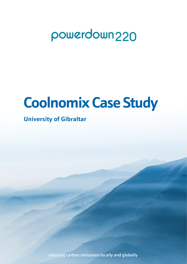## powerdown220

# **Coolnomix Case Study**

## **University of Gibraltar**

reducing carbon emissions locally and globally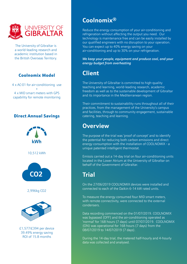

The University of Gibraltar is a world-leading research and academic institution based in the British Overseas Territory.

#### Coolnomix Model

4 x AC-01 for air-conditioning use + 4 x MID smart meters with GPS capability for remote monitoring

#### Direct Annual Savings



### **Coolnomix®**

Reduce the energy consumption of your air-conditioning and refrigeration without affecting the output you need. Our technology is maintenance free and can be easily installed by our qualified engineers with no disruption to your operation. You can expect up to 40% energy saving on your air-conditioning and up to 30% on your refrigeration.

*We keep your people, equipment and produce cool, and your energy budget from overheating*

## **Client**

The University of Gibraltar is committed to high-quality teaching and learning, world-leading research, academic freedom as well as to the sustainable development of Gibraltar and its importance in the Mediterranean region.

Their commitment to sustainability runs throughout all of their practices, from the management of the University's campus and facilities, through to community engagement, sustainable catering, teaching and learning.

### **Overview**

The purpose of the trial was 'proof of concept' and to identify the potential for reducing both carbon emissions and direct energy consumption with the installation of COOLNOMIX - a unique patented intelligent thermostat.

Emissis carried out a 14-day trial on four air-conditioning units located in the Lower Atrium at the University of Gibraltar on behalf of the Government of Gibraltar.

## **Trial**

On the 27/06/2019 COOLNOMIX devices were installed and connected to each of the Daikin 6-14 kW rated units.

To measure the energy consumed four MID smart meters, with remote connectivity, were connected to the external condensers.

Data recording commenced on the 01/07/2019. COOLNOMIX was bypassed (OFF) and the air-conditioning operated as 'normal' for 168 hours (7 days) until 07/07/2019. COOLNOMIX (ON) was operational for 168 hours (7 days) from the 08/07/2019 to 14/07/2019 (7 days).

During the 14-day trial, the metered half-hourly and 4-hourly data was collected and analysed.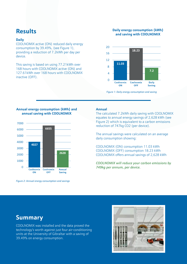### **Results**

#### **Daily**

COOLNOMIX active (ON) reduced daily energy consumption by 39.49%, (see Figure 1), providing a reduction of 7.2kWh per day per device.

This saving is based on using 77.21kWh over 168 hours with COOLNOMIX active (ON) and 127.61kWh over 168 hours with COOLNOMIX inactive (OFF).

#### **Daily energy consumption (kWh) and saving with COOLNOMIX**



*Figure 1: Daily energy consumption and saving*

#### **Annual energy consumption (kWh) and annual saving with COOLNOMIX**



*Figure 2: Annual energy consumption and savings*

#### **Annual**

The calculated 7.2kWh daily saving with COOLNOMIX equates to annual energy savings of 2,628 kWh (see Figure 2) which is equivalent to a carbon emissions reduction of 747kg CO2 (per device).

The annual savings were calculated on an average daily consumption showing:

COOLNOMIX (ON) consumption 11.03 kWh COOLNOMIX (OFF) consumption 18.23 kWh COOLNOMIX offers annual savings of 2,628 kWh

*COOLNOMIX will reduce your carbon emissions by 749kg per annum, per device.* 

#### **Summary**

COOLNOMIX was installed and the data proved the technology's worth against just four air-conditioning units at the University of Gibraltar with a saving of 39.49% on energy consumption.